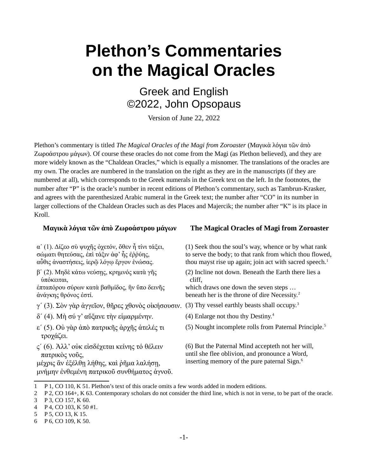# **Plethon's Commentaries on the Magical Oracles**

Greek and English ©2022, John Opsopaus

Version of June 22, 2022

Plethon's commentary is titled *The Magical Oracles of the Magi from Zoroaster* (Μαγικὰ λόγια τῶν ἀπὸ Ζωροάστρου μάγων). Of course these oracles do not come from the Magi (as Plethon believed), and they are more widely known as the "Chaldean Oracles," which is equally a misnomer. The translations of the oracles are my own. The oracles are numbered in the translation on the right as they are in the manuscripts (if they are numbered at all), which corresponds to the Greek numerals in the Greek text on the left. In the footnotes, the number after "P" is the oracle's number in recent editions of Plethon's commentary, such as Tambrun-Krasker, and agrees with the parenthesized Arabic numeral in the Greek text; the number after "CO" in its number in larger collections of the Chaldean Oracles such as des Places and Majercik; the number after "K" is its place in Kroll.

α΄ (1). Δίζεο σὺ ψυχῆς ὀχετόν, ὅθεν ἦ τίνι τάξει, σώματι θητεύσας, ἐπὶ τάξιν ἀφ' ἧς ἐῤῥύης, αὖθις ἀναστήσεις, ἱερῷ λόγῳ ἔργον ἑνώσας.

β΄ (2). Μηδὲ κάτω νεύσῃς, κρημνός κατὰ γῆς ὑπόκειται,

ἑπταπόρου σύρων κατὰ βαθμίδος, ἣν ὕπο δεινῆς ἀνάγκης θρόνος ἐστί.

- $\gamma'$  ([3](#page-0-5)). Σὸν γὰρ ἀγγεῖον, θῆρες χθονὸς οἰκήσουσιν. (3) Thy vessel earthly beasts shall occupy.<sup>3</sup>
- $δ' (4)$  $δ' (4)$  $δ' (4)$ . Μὴ σύ γ' αὔξανε τὴν εἱμαρμένην. (4) Enlarge not thou thy Destiny.<sup>4</sup>
- ε΄ (5). Οὐ γὰρ ἀπὸ πατρικῆς ἀρχῆς ἀτελές τι τροχάζει.
- ς΄ (6). Ἀλλ' οὐκ εἰσδέχεται κείνης τό θέλειν πατρικὸς νοῦς,

μέχρις ἂν ἐξέλθῃ λήθης, καὶ ῥῆμα λαλήσῃ, μνήμην ἐνθεμένη πατρικοῦ συνθήματος ἁγνοῦ.

### **Μαγικὰ λόγια τῶν ἀπὸ Ζωροάστρου μάγων The Magical Oracles of Magi from Zoroaster**

(1) Seek thou the soul's way, whence or by what rank to serve the body; to that rank from which thou flowed, thou mayst rise up again; join act with sacred speech. $<sup>1</sup>$  $<sup>1</sup>$  $<sup>1</sup>$ </sup>

<span id="page-0-0"></span>(2) Incline not down. Beneath the Earth there lies a cliff,

<span id="page-0-2"></span>which draws one down the seven steps … beneath her is the throne of dire Necessity.<sup>[2](#page-0-3)</sup>

- 
- <span id="page-0-8"></span><span id="page-0-6"></span><span id="page-0-4"></span>
- (5) Nought incomplete rolls from Paternal Principle.[5](#page-0-9)

<span id="page-0-10"></span>(6) But the Paternal Mind accepteth not her will, until she flee oblivion, and pronounce a Word, inserting memory of the pure paternal  $Sign.<sup>6</sup>$  $Sign.<sup>6</sup>$  $Sign.<sup>6</sup>$ 

<span id="page-0-1"></span>[<sup>1</sup>](#page-0-0) P 1, CO 110, K 51. Plethon's text of this oracle omits a few words added in modern editions.

<span id="page-0-3"></span>[<sup>2</sup>](#page-0-2) P 2, CO 164+, K 63. Contemporary scholars do not consider the third line, which is not in verse, to be part of the oracle.

<span id="page-0-5"></span>[<sup>3</sup>](#page-0-4) P 3, CO 157, K 60.

<span id="page-0-7"></span>[<sup>4</sup>](#page-0-6) P 4, CO 103, K 50 #1.

<span id="page-0-9"></span>[<sup>5</sup>](#page-0-8) P 5, CO 13, K 15.

<span id="page-0-11"></span>[<sup>6</sup>](#page-0-10) P 6, CO 109, K 50.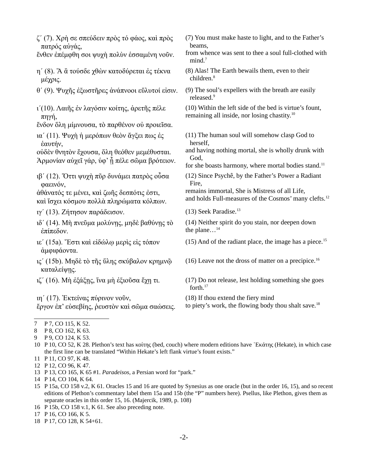ζ΄ (7). Χρὴ σε σπεύδειν πρὸς τό φάος, καὶ πρὸς πατρός αὐγάς,

ἔνθεν ἐπέμφθη σοι ψυχὴ πολὺν ἑσσαμένη νοῦν.

- η΄ (8). Ἂ ἂ τούσδε χθὼν κατοδύρεται ἐς τέκνα μέχρις.
- θ΄ (9). Ψυχῆς ἐξωστῆρες ἀνάπνοοι εὔλυτοί εἰσιν. (9) The soul's expellers with the breath are easily
- ι΄(10). Λαιῆς ἐν λαγόσιν κοίτης, ἀρετῆς πέλε πηγή,
- ἔνδον ὅλη μίμνουσα, τὸ παρθένον οὐ προιεῖσα.
- ια΄ (11). Ψυχὴ ἡ μερόπων θεὸν ἄγξει πως ἐς ἑαυτήν,
- οὐδὲν θνητὸν ἔχουσα, ὅλη θεόθεν μεμέθυσται. Άρμονίαν αὐχεῖ γάρ, ὑφ' ἦ πέλε σῶμα βρότειον.
- ιβ΄ (12). Ὅττι ψυχὴ πῦρ δυνάμει πατρὸς οὖσα φαεινόν,

ἀθάνατός τε μένει, καὶ ζωῆς δεσπότις ἐστι, καὶ ἴσχει κόσμου πολλὰ πληρώματα κόλπων.

- ιγ΄ (13). Ζήτησον παράδεισον. (13) Seek Paradise.[13](#page-1-13)
- ιδ΄ (14). Μὴ πνεῦμα μολύνῃς, μηδὲ βαθύνῃς τὸ ἐπίπεδον.
- ιε΄ (15a). Ἔστι καὶ εἰδώλῳ μερὶς εἰς τόπον ἀμφιφάοντα.
- ις΄ (15b). Μηδὲ τὸ τῆς ὕλης σκύβαλον κρημνῷ καταλείψῃς.
- 

ιη΄ (17). Ἐκτείνας πύρινον νοῦν, ἔργον ἐπ' εὐσεβίης, ῥευστὸν καὶ σῶμα σαώσεις.

- (7) You must make haste to light, and to the Father's beams,
- <span id="page-1-0"></span>from whence was sent to thee a soul full-clothed with  $mind.<sup>7</sup>$  $mind.<sup>7</sup>$  $mind.<sup>7</sup>$
- <span id="page-1-2"></span>(8) Alas! The Earth bewails them, even to their children.<sup>[8](#page-1-3)</sup>

<span id="page-1-4"></span>released.[9](#page-1-5)

<span id="page-1-6"></span>(10) Within the left side of the bed is virtue's fount, remaining all inside, nor losing chastity.<sup>[10](#page-1-7)</sup>

- (11) The human soul will somehow clasp God to herself,
- <span id="page-1-8"></span>and having nothing mortal, she is wholly drunk with God,
- for she boasts harmony, where mortal bodies stand.<sup>[11](#page-1-9)</sup>
- (12) Since Psychê, by the Father's Power a Radiant Fire,

remains immortal, She is Mistress of all Life, and holds Full-measures of the Cosmos' many clefts.<sup>[12](#page-1-11)</sup>

<span id="page-1-12"></span><span id="page-1-10"></span>

<span id="page-1-14"></span>(14) Neither spirit do you stain, nor deepen down the plane...<sup>[14](#page-1-15)</sup>

- <span id="page-1-16"></span>([15](#page-1-17)) And of the radiant place, the image has a piece.<sup>15</sup>
- <span id="page-1-18"></span>([16](#page-1-19)) Leave not the dross of matter on a precipice.<sup>16</sup>
- ιζ΄ (16). Μὴ ἐξάξῃς, ἵνα μὴ ἐξιοῦσα ἔχῃ τι. (17) Do not release, lest holding something she goes forth.[17](#page-1-21)

<span id="page-1-20"></span>(18) If thou extend the fiery mind

<span id="page-1-22"></span>to piety's work, the flowing body thou shalt save. $^{18}$  $^{18}$  $^{18}$ 

- <span id="page-1-13"></span>[13](#page-1-12) P 13, CO 165, K 65 #1. *Paradeisos*, a Persian word for "park."
- <span id="page-1-15"></span>[14](#page-1-14) P 14, CO 104, K 64.
- <span id="page-1-17"></span>[15](#page-1-16) P 15a, CO 158 v.2, K 61. Oracles 15 and 16 are quoted by Synesius as one oracle (but in the order 16, 15), and so recent editions of Plethon's commentary label them 15a and 15b (the "P" numbers here). Psellus, like Plethon, gives them as separate oracles in this order 15, 16. (Majercik, 1989, p. 108)
- <span id="page-1-19"></span>[16](#page-1-18) P 15b, CO 158 v.1, K 61. See also preceding note.
- <span id="page-1-21"></span>[17](#page-1-20) P 16, CO 166, K 5.
- <span id="page-1-23"></span>[18](#page-1-22) P 17, CO 128, K 54+61.

<span id="page-1-1"></span>[<sup>7</sup>](#page-1-0) P 7, CO 115, K 52.

<span id="page-1-3"></span>[<sup>8</sup>](#page-1-2) P 8, CO 162, K 63.

<span id="page-1-5"></span>[<sup>9</sup>](#page-1-4) P 9, CO 124, K 53.

<span id="page-1-7"></span>[<sup>10</sup>](#page-1-6) P 10, CO 52, K 28. Plethon's text has κοίτης (bed, couch) where modern editions have ῾Εκάτης (Hekate), in which case the first line can be translated "Within Hekate's left flank virtue's fount exists."

<span id="page-1-9"></span>[<sup>11</sup>](#page-1-8) P 11, CO 97, K 48.

<span id="page-1-11"></span>[<sup>12</sup>](#page-1-10) P 12, CO 96, K 47.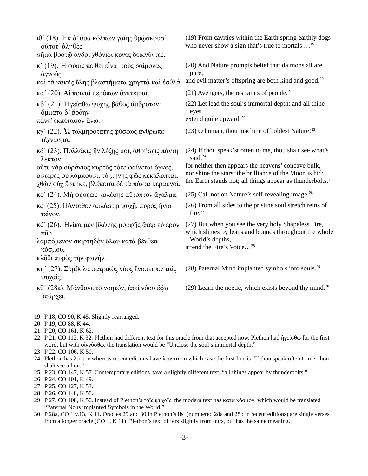<span id="page-2-10"></span><span id="page-2-8"></span><span id="page-2-6"></span><span id="page-2-4"></span><span id="page-2-2"></span><span id="page-2-0"></span>

| ιθ' (18). Έκ δ' άρα κόλπων γαίης θρώσκουσ'<br>ούποτ' άληθές<br>σῆμα βροτῷ ἀνδρὶ χθόνιοι κύνες δεικνύντες.                                         | (19) From cavities within the Earth spring earthly dogs<br>who never show a sign that's true to mortals $\ldots$ <sup>19</sup>                                                           |
|---------------------------------------------------------------------------------------------------------------------------------------------------|------------------------------------------------------------------------------------------------------------------------------------------------------------------------------------------|
|                                                                                                                                                   |                                                                                                                                                                                          |
| κ' (19). Η φύσις πείθει εἶναι τους δαίμονας<br>άγνούς,                                                                                            | (20) And Nature prompts belief that daimons all are<br>pure,                                                                                                                             |
| καί τὰ κακῆς ὕλης βλαστήματα χρηστὰ καὶ ἐσθλά.                                                                                                    | and evil matter's offspring are both kind and good. <sup>20</sup>                                                                                                                        |
| κα' (20). Αί ποιναί μερόπων άγκτειραι.                                                                                                            | $(21)$ Avengers, the restraints of people. <sup>21</sup>                                                                                                                                 |
| κβ' (21). Ηγείσθω ψυχῆς βάθος ἄμβροτον·<br>δμματα δ' ἄρδην<br>πάντ' έκπέτασον άνω.                                                                | (22) Let lead the soul's immortal depth; and all thine<br>eyes<br>extend quite upward. <sup>22</sup>                                                                                     |
| κγ' (22). Ω τολμηροτάτης φύσεως ἄνθρωπε<br>τέχνασμα.                                                                                              | (23) O human, thou machine of boldest Nature! <sup>23</sup>                                                                                                                              |
| κδ' (23). Πολλάκις ἣν λέξης μοι, άθρήσεις πάντη<br>λεκτόν·                                                                                        | (24) If thou speak'st often to me, thou shalt see what's<br>said, $^{24}$                                                                                                                |
| ούτε γάρ ούράνιος κυρτός τότε φαίνεται όγκος,<br>άστέρες ού λάμπουσι, το μήνης φώς κεκάλυπται,<br>χθών ούχ έστηκε, βλέπεται δε τα πάντα κεραυνοί. | for neither then appears the heavens' concave bulk,<br>nor shine the stars; the brilliance of the Moon is hid;<br>the Earth stands not; all things appear as thunderbolts. <sup>25</sup> |
| κε' (24). Μη φύσεως καλέσης αύτοπτον άγαλμα.                                                                                                      | (25) Call not on Nature's self-revealing image. $^{26}$                                                                                                                                  |
| κς' (25). Πάντοθεν άπλάστω ψυχη, πυρός ήνία<br>τεῖνον.                                                                                            | (26) From all sides to the pristine soul stretch reins of<br>fire. $27$                                                                                                                  |
| κζ' (26). Ηνίκα μεν βλέψης μορφής άτερ ευίερον<br>$\pi\tilde{\nu}\rho$                                                                            | (27) But when you see the very holy Shapeless Fire,<br>which shines by leaps and bounds throughout the whole                                                                             |
| λαμπόμενον σκιρτηδόν όλου κατά βένθεα<br>κόσμου,                                                                                                  | World's depths,<br>attend the Fire's Voice <sup>28</sup>                                                                                                                                 |
| κλῦθι πυρὸς την φωνήν.                                                                                                                            |                                                                                                                                                                                          |
| κη' (27). Σύμβολα πατρικὸς νόος ἔνσπειρεν ταῖς<br>ψυχαΐς.                                                                                         | (28) Paternal Mind implanted symbols into souls. <sup>29</sup>                                                                                                                           |
| κθ' (28a). Μάνθανε τὸ νοητόν, ἐπεὶ νόου ἔξω<br>ύπάρχει.                                                                                           | (29) Learn the noetic, which exists beyond thy mind. $30$                                                                                                                                |

- <span id="page-2-13"></span>[25](#page-2-12) P 23, CO 147, K 57. Contemporary editions have a slightly different text, "all things appear by thunderbolts."
- <span id="page-2-15"></span>[26](#page-2-14) P 24, CO 101, K 49.
- <span id="page-2-17"></span>[27](#page-2-16) P 25, CO 127, K 53.
- <span id="page-2-19"></span>[28](#page-2-18) P 26, CO 148, K 58.
- <span id="page-2-21"></span>[29](#page-2-20) P 27, CO 108, K 50. Instead of Plethon's ταῖς ψυχαῖς, the modern text has κατὰ κόσμον, which would be translated "Paternal Nous implanted Symbols in the World."
- <span id="page-2-23"></span>[30](#page-2-22) P 28a, CO 1 v.13, K 11. Oracles 29 and 30 in Plethon's list (numbered 28a and 28b in recent editions) are single verses from a longer oracle (CO 1, K 11). Plethon's text differs slightly from ours, but has the same meaning.

<span id="page-2-22"></span><span id="page-2-20"></span><span id="page-2-18"></span><span id="page-2-16"></span><span id="page-2-14"></span><span id="page-2-12"></span><span id="page-2-1"></span>[<sup>19</sup>](#page-2-0) P 18, CO 90, K 45. Slightly rearranged.

<span id="page-2-3"></span>[<sup>20</sup>](#page-2-2) P 19, CO 88, K 44.

<span id="page-2-5"></span>[<sup>21</sup>](#page-2-4) P 20, CO 161, K 62.

<span id="page-2-7"></span>[<sup>22</sup>](#page-2-6) P 21, CO 112, K 32. Plethon had different text for this oracle from that accepted now. Plethon had ήγείσθω for the first word, but with οἰγνύσθω, the translation would be "Unclose the soul's immortal depth."

<span id="page-2-9"></span>[<sup>23</sup>](#page-2-8) P 22, CO 106, K 50.

<span id="page-2-11"></span>[<sup>24</sup>](#page-2-10) Plethon has λέκτον whereas recent editions have λέοντα, in which case the first line is "If thou speak often to me, thou shalt see a lion."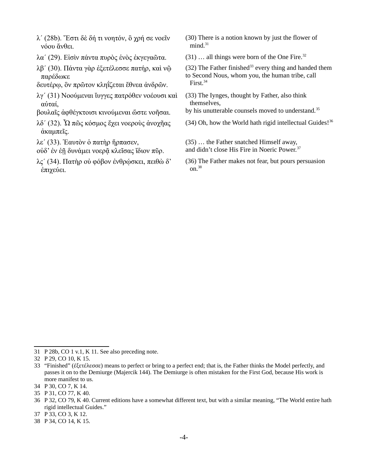- λ΄ (28b). Ἔστι δὲ δή τι νοητόν, ὃ χρή σε νοεῖν νόου ἄνθει.
- λα' (29). Είσὶν πάντα πυρὸς ἑνὸς ἐκγεγαῶτα. (31) ... all things were born of the One Fire.<sup>[32](#page-3-3)</sup>
- λβ΄ (30). Πάντα γὰρ ἐξετέλεσσε πατήρ, καὶ νῷ παρέδωκε
- δευτέρῳ, ὃν πρῶτον κληΐζεται ἔθνεα ἀνδρῶν.
- λγ΄ (31) Νοούμεναι ἴυγγες πατρόθεν νοέουσι καὶ αὐταί,
- βουλαῖς ἀφθέγκτοισι κινούμεναι ὥστε νοῆσαι.
- λδ΄ (32). Ὦ πῶς κόσμος ἔχει νοεροὺς ἀνοχῆας ἀκαμπεῖς.
- λε΄ (33). Ἑαυτὸν ὁ πατὴρ ἥρπασεν,
- οὐδ' ἐν ἑῇ δυνάμει νοερᾷ κλεῖσας ἴδιον πῦρ.
- $\lambda$ ς' (34). Πατήρ οὐ φόβον ἐνθρώσκει, πειθὼ δ' ἐπιχεύει.
- <span id="page-3-0"></span>(30) There is a notion known by just the flower of  $mind.<sup>31</sup>$  $mind.<sup>31</sup>$  $mind.<sup>31</sup>$
- <span id="page-3-2"></span>
- <span id="page-3-4"></span>(32) The Father finished<sup>[33](#page-3-5)</sup> every thing and handed them to Second Nous, whom you, the human tribe, call First.<sup>[34](#page-3-7)</sup>
- <span id="page-3-6"></span>(33) The Iynges, thought by Father, also think themselves,
- by his unutterable counsels moved to understand.<sup>[35](#page-3-9)</sup>
- <span id="page-3-10"></span><span id="page-3-8"></span> $(34)$  Oh, how the World hath rigid intellectual Guides!<sup>[36](#page-3-11)</sup>
- (35) … the Father snatched Himself away,
- <span id="page-3-12"></span>and didn't close His Fire in Noeric Power.<sup>[37](#page-3-13)</sup>
- <span id="page-3-14"></span>(36) The Father makes not fear, but pours persuasion on.<sup>[38](#page-3-15)</sup>

<span id="page-3-1"></span>[<sup>31</sup>](#page-3-0) P 28b, CO 1 v.1, K 11. See also preceding note.

<span id="page-3-3"></span>[<sup>32</sup>](#page-3-2) P 29, CO 10, K 15.

<span id="page-3-5"></span>[<sup>33</sup>](#page-3-4) "Finished" (ἐξετέλεσσε) means to perfect or bring to a perfect end; that is, the Father thinks the Model perfectly, and passes it on to the Demiurge (Majercik 144). The Demiurge is often mistaken for the First God, because His work is more manifest to us.

<span id="page-3-7"></span>[<sup>34</sup>](#page-3-6) P 30, CO 7, K 14.

<span id="page-3-9"></span>[<sup>35</sup>](#page-3-8) P 31, CO 77, K 40.

<span id="page-3-11"></span>[<sup>36</sup>](#page-3-10) P 32, CO 79, K 40. Current editions have a somewhat different text, but with a similar meaning, "The World entire hath rigid intellectual Guides."

<span id="page-3-13"></span>[<sup>37</sup>](#page-3-12) P 33, CO 3, K 12.

<span id="page-3-15"></span>[<sup>38</sup>](#page-3-14) P 34, CO 14, K 15.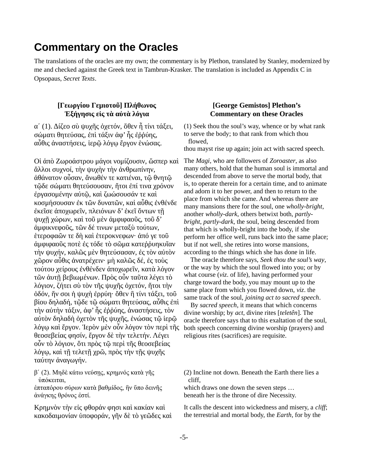## **Commentary on the Oracles**

The translations of the oracles are my own; the commentary is by Plethon, translated by Stanley, modernized by me and checked against the Greek text in Tambrun-Krasker. The translation is included as Appendix C in Opsopaus, *Secret Texts*.

## **[Γεωργίου Γεμιοτοῦ] Πλήθωνος Ἐξήγησις εἰς τὰ αὐτὰ λόγια**

α΄ (1). Δίζεο σὺ ψυχῆς ὀχετόν, ὅθεν ἦ τίνι τάξει, σώματι θητεύσας, ἐπὶ τάξιν ἀφ' ἧς ἐῤῥύης, αὖθις ἀναστήσεις, ἱερῷ λόγῳ ἔργον ἑνώσας.

Οἱ ἀπὸ Ζωροάστρου μάγοι νομίζουσιν, ὥσπερ καὶ ἄλλοι συχνοί, τὴν ψυχὴν τὴν ἀνθρωπίνην, ἀθάνατον οὖσαν, ἄνωθέν τε κατιέναι, τῷ θνητῷ τῷδε σώματι θητεύσουσαν, ἤτοι ἐπί τινα χρόνον ἐργασομένην αὐτῷ, καὶ ζωώσουσάν τε καὶ κοσμήσουσαν ἐκ τῶν δυνατῶν, καὶ αὖθις ἐνθένδε ἐκεῖσε ἀποχωρεῖν, πλειόνων δ' ἐκεῖ ὄντων τῇ ψυχῇ χώρων, καὶ τοῦ μὲν ἀμφιφαοῦς, τοῦ δ' ἀμφικνεφοῦς, τῶν δέ τινων μεταξὺ τούτων, ἑτεροφαῶν τε δὴ καὶ ἑτεροκνεφων· ἀπό γε τοῦ ἀμφιφαοῦς ποτὲ ἐς τόδε τὸ σῶμα κατεῤῥυηκυῖαν τὴν ψυχήν, καλῶς μὲν θητεύσασαν, ἐς τὸν αὐτὸν χῶρον αὖθις ἀνατρέχειν· μὴ καλῶς δέ, ἐς τοὺς τούτου χείρους ἐνθένδεν ἀποχωρεῖν, κατὰ λόγον τῶν ἀυτῇ βεβιωμένων. Πρὸς οὖν ταῦτα λέγει τὸ λόγιον, ζήτει σὺ τὸν τῆς ψυχῆς ὀχετόν, ἤτοι τὴν ὁδόν, ἥν σοι ἡ ψυχὴ ἐρρύη· ὄθεν ἢ τίνι τάξει, τοῦ βίου δηλαδή, τῷδε τῷ σώματι θητεύσας, αὖθις ἐπὶ τὴν αὐτὴν τάξιν, ἀφ' ἧς ἐῤῥύης, ἀναστήσεις, τὸν αὐτὸν δηλαδὴ ὀχετὸν τῆς ψυχῆς, ἑνώσας τῷ ἱερῷ λόγῳ καὶ ἔργον. Ἱερὸν μὲν οὖν λόγον τὸν περὶ τῆς θεοσεβείας φησίν, ἔργον δὲ τὴν τελετήν. Λέγει οὖν τὸ λόγιον, ὅτι πρὸς τῷ περὶ τῆς θεοσεβείας λόγῳ, καὶ τῇ τελετῇ χρῶ, πρὸς τὴν τῇς ψυχῆς ταύτην ἀναγωγήν.

β΄ (2). Μηδὲ κάτω νεύσῃς, κρημνός κατὰ γῆς ὑπόκειται,

ἑπταπόρου σύρων κατὰ βαθμίδος, ἣν ὕπο δεινῆς ἀνάγκης θρόνος ἐστί.

Κρημνὸν τὴν εἰς φθοράν φησι καὶ κακίαν καὶ κακοδαιμονίαν ὑποφοράν, γῆν δὲ τὸ γεῶδες καὶ

## **[George Gemistos] Plethon's Commentary on these Oracles**

(1) Seek thou the soul's way, whence or by what rank to serve the body; to that rank from which thou flowed,

thou mayst rise up again; join act with sacred speech.

The *Magi*, who are followers of *Zoroaster*, as also many others, hold that the human soul is immortal and descended from above to serve the mortal body, that is, to operate therein for a certain time, and to animate and adorn it to her power, and then to return to the place from which she came. And whereas there are many mansions there for the soul, one *wholly-bright*, another *wholly-dark*, others betwixt both, *partlybright*, *partly-dark*, the soul, being descended from that which is wholly-bright into the body, if she perform her office well, runs back into the same place; but if not well, she retires into worse mansions, according to the things which she has done in life.

 The oracle therefore says, *Seek thou the soul's way*, or the way by which the soul flowed into you; or by what course (*viz*. of life), having performed your charge toward the body, you may mount up to the same place from which you flowed down, *viz*. the same track of the soul, *joining act to sacred speech*.

 By *sacred speech*, it means that which concerns divine worship; by *act*, divine rites [*teletên*]. The oracle therefore says that to this exaltation of the soul, both speech concerning divine worship (prayers) and religious rites (sacrifices) are requisite.

(2) Incline not down. Beneath the Earth there lies a cliff,

which draws one down the seven steps … beneath her is the throne of dire Necessity.

It calls the descent into wickedness and misery, a *cliff*; the terrestrial and mortal body, the *Earth*, for by the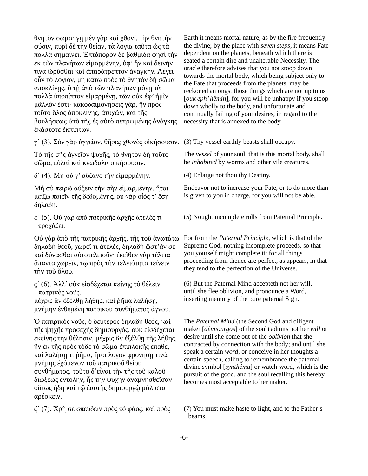θνητὸν σῶμα· γῇ μὲν γὰρ καὶ χθονί, τὴν θνητὴν φύσιν, πυρὶ δὲ τὴν θείαν, τὰ λόγια ταῦτα ὡς τὰ πολλὰ σημαίνει. Ἑπτάπορον δὲ βαθμίδα φησὶ τὴν ἐκ τῶν πλανήτων εἱμαρμένην, ὑφ' ἣν καὶ δεινήν τινα ἱδρῦσθαι καὶ ἀπαράτρεπτον ἀνάγκην. Λέγει οὖν τὸ λόγιον, μὴ κάτω πρὸς τὸ θνητὸν δὴ σῶμα ἀποκλίνῃς, ὃ τῇ ἀπὸ τῶν πλανήτων μόνῃ τὰ πολλὰ ὑποπίπτον εἱμαρμένῃ, τῶν οὐκ ἐφ' ἡμῖν μᾶλλόν ἐστι· κακοδαιμονήσεις γάρ, ἢν πρὸς τοῦτο ὅλος ἀποκλίνῃς, ἀτυχῶν, καὶ τῆς βουλήσεως ὑπὸ τῆς ἐς αὐτὸ πεπρωμένης ἀνάγκης ἑκάστοτε ἐκπίπτων.

γ΄ (3). Σὸν γὰρ ἀγγεῖον, θῆρες χθονὸς οἰκήσουσιν. (3) Thy vessel earthly beasts shall occupy.

Τὸ τῆς σῆς ἀγγεῖον ψυχῆς, τὸ θνητὸν δὴ τοῦτο σῶμα, εὐλαὶ καὶ κνώδαλα οἰκήσουσιν.

δ΄ (4). Μὴ σύ γ' αὔξανε τὴν εἱμαρμένην. (4) Enlarge not thou thy Destiny.

Μὴ σὺ πειρῶ αὔξειν τὴν σὴν εἱμαρμένην, ἤτοι μείζω ποιεῖν τῆς δεδομένης, οὐ γὰρ οἷός τ' ἔσῃ δηλαδή.

ε΄ (5). Οὐ γὰρ ἀπὸ πατρικῆς ἀρχῆς ἀτελές τι τροχάζει.

Οὐ γὰρ ἀπὸ τῆς πατρικῆς ἀρχῆς, τῆς τοῦ ἀνωτάτω δηλαδὴ θεοῦ, χωρεῖ τι ἀτελές, δηλαδὴ ὥστ'ἄν σε καὶ δύνασθαι αὐτοτελειοῦν· ἐκεῖθεν γὰρ τέλεια ἅπαντα χωρεῖν, τῷ πρὸς τὴν τελειότητα τείνειν τὴν τοῦ ὅλου.

ς΄ (6). Ἀλλ' οὐκ εἰσδέχεται κείνης τό θέλειν πατρικὸς νοῦς,

μέχρις ἂν ἐξέλθῃ λήθης, καὶ ῥῆμα λαλήσῃ, μνήμην ἐνθεμένη πατρικοῦ συνθήματος ἁγνοῦ.

Ὁ πατιρικὸς νοῦς, ὁ δεύτερος δηλαδὴ θεός, καὶ τῆς ψηχῆς προσεχὴς δημιουργός, οὐκ εἰσδέχεται έκείνης τὴν θέλησιν, μέχρις ἂν ἐξέλθη τῆς λήθης, ἢν ἐκ τῆς πρὸς τόδε τὸ σῶμα ἐπιπλοκῆς ἔπαθε, καὶ λαλήση τι ῥῆμα, ἤτοι λόγον φρονήση τινά, μνήμης ἐχόμενον τοῦ πατρικοῦ θείου συνθήματος, τοῦτο δ᾽εἶναι τὴν τῆς τοῦ καλοῦ διώξεως ἐντολήν, ἧς τὴν ψυχὴν ἀναμνησθεῖσαν οὕτως ἤδη καὶ τῷ ἑαυτῆς δημιουργῷ μάλιστα ἀρέσκειν.

Earth it means mortal nature, as by the fire frequently the divine; by the place with *seven steps*, it means Fate dependent on the planets, beneath which there is seated a certain dire and unalterable Necessity. The oracle therefore advises that you not stoop down towards the mortal body, which being subject only to the Fate that proceeds from the planets, may be reckoned amongst those things which are not up to us [*ouk eph' hêmin*], for you will be unhappy if you stoop down wholly to the body, and unfortunate and continually failing of your desires, in regard to the necessity that is annexed to the body.

The *vessel* of your soul, that is this mortal body, shall be *inhabited* by worms and other vile creatures.

Endeavor not to increase your Fate, or to do more than is given to you in charge, for you will not be able.

(5) Nought incomplete rolls from Paternal Principle.

For from the *Paternal Principle*, which is that of the Supreme God, nothing incomplete proceeds, so that you yourself might complete it; for all things proceeding from thence are perfect, as appears, in that they tend to the perfection of the Universe.

(6) But the Paternal Mind accepteth not her will, until she flee oblivion, and pronounce a Word, inserting memory of the pure paternal Sign.

The *Paternal Mind* (the Second God and diligent maker [*dêmiourgos*] of the soul) admits not her *will* or desire until she come out of the *oblivion* that she contracted by connection with the body; and until she speak a certain *word*, or conceive in her thoughts a certain speech, calling to remembrance the paternal divine symbol [*synthêma*] or watch-word, which is the pursuit of the good, and the soul recalling this hereby becomes most acceptable to her maker.

ζ΄ (7). Χρὴ σε σπεύδειν πρὸς τό φάος, καὶ πρὸς (7) You must make haste to light, and to the Father's beams,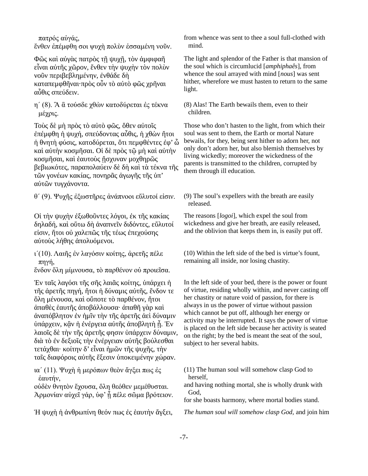πατρός αὐγάς,

ἔνθεν ἐπέμφθη σοι ψυχὴ πολὺν ἑσσαμένη νοῦν.

Φῶς καὶ αὐγὰς πατρὸς τῇ ψυχῇ, τὸν ἀμφιφαῆ εἶναι αὐτῆς χῶρον, ἔνθεν τὴν ψυχὴν τὸν πολὺν νοῦν περιβεβλημένην, ἐνθάδε δὴ καταπεμφθῆναι·πρὸς οὖν τὸ αὐτὸ φῶς χρῆναι αὖθις σπεύδειν.

η΄ (8). Ἂ ἂ τούσδε χθὼν κατοδύρεται ἐς τέκνα μέχρις.

Τοὺς δὲ μὴ πρὸς τὸ αὐτὸ φῶς, ὅθεν αὐτοῖς ἐπέμφθη ἡ ψυχή, σπεύδοντας αὖθις, ἡ χθὼν ἤτοι ἡ θνητὴ φύσις, κατοδύρεται, ὅτι πεμφθέντες ἐφ' ὧ καὶ αὐτὴν κοσμῆσαι. Οἱ δὲ πρὸς τῷ μὴ καὶ αὑτὴν κοσμῆσαι, καὶ ἑαυτοὺς ἤσχυναν μοχθηρῶς βεβιωκότες, παραπολαύειν δὲ δὴ καὶ τὰ τέκνα τῆς τῶν γονέων κακίας, πονηρᾶς ἀγωγῆς τῆς ὑπ' αὐτῶν τυγχάνοντα.

θ΄ (9). Ψυχῆς ἐξωστῆρες ἀνάπνοοι εὔλυτοί εἰσιν. (9) The soul's expellers with the breath are easily

Οἱ τὴν ψυχὴν ἐξωθοῦντες λόγοι, ἐκ τῆς κακίας δηλαδή, καὶ οὕτω δὴ ἀναπνεῖν διδόντες, εὔλυτοί εἰσιν, ἤτοι οὐ χαλεπῶς τῆς τέως ἐπεχούσης αὐτοὺς λήθης ἀπολυόμενοι.

ι΄(10). Λαιῆς ἐν λαγόσιν κοίτης, ἀρετῆς πέλε πηγή,

ἔνδον ὅλη μίμνουσα, τὸ παρθένον οὐ προιεῖσα.

Ἐν ταῖς λαγόσι τῆς σῆς λαιᾶς κοίτης, ὑπάρχει ἡ τῆς ἀρετῆς πηγή, ἤτοι ἡ δύναμις αὐτῆς, ἔνδον τε ὅλη μένουσα, καὶ οὔποτε τὸ παρθένον, ἤτοι ἀπαθὲς ἑαυτῆς ἀποβάλλουσα· ἀπαθῆ γὰρ καὶ ἀναπόβλητον ἐν ἡμῖν τὴν τῆς ἀρετῆς ἀεὶ δύναμιν ύπάρχειν, κἂν ἡ ἐνέργεια αὐτῆς ἀποβλητὴ ἦ. Ἐν λαιοῖς δὲ τὴν τῆς ἀρετῆς φησιν ὑπάρχειν δύναμιν, διὰ τὸ ἐν δεξιοῖς τὴν ἐνέργειαν αὐτῆς βούλεσθαι τετάχθαι· κοίτην δ' εἶναι ἡμῶν τῆς ψυχῆς, τὴν ταῖς διαφόροις αὐτῆς ἕξεσιν ὑποκειμένην χώραν.

ια΄ (11). Ψυχὴ ἡ μερόπων θεὸν ἄγξει πως ἐς ἑαυτήν,

οὐδὲν θνητὸν ἔχουσα, ὅλη θεόθεν μεμέθυσται. Άρμονίαν αὐχεῖ γάρ, ὑφ' ἦ πέλε σῶμα βρότειον.

Ἡ ψυχὴ ἡ ἀνθρωπίνη θεόν πως ἐς ἑαυτὴν ἄγξει, *The human soul will somehow clasp God,* and join him

from whence was sent to thee a soul full-clothed with mind.

The light and splendor of the Father is that mansion of the soul which is circumlucid [*amphiphaês*], from whence the soul arrayed with mind [*nous*] was sent hither, wherefore we must hasten to return to the same light.

(8) Alas! The Earth bewails them, even to their children.

Those who don't hasten to the light, from which their soul was sent to them, the Earth or mortal Nature bewails, for they, being sent hither to adorn her, not only don't adorn her, but also blemish themselves by living wickedly; moreover the wickedness of the parents is transmitted to the children, corrupted by them through ill education.

released.

The reasons [*logoi*], which expel the soul from wickedness and give her breath, are easily released, and the oblivion that keeps them in, is easily put off.

(10) Within the left side of the bed is virtue's fount, remaining all inside, nor losing chastity.

In the left side of your bed, there is the power or fount of virtue, residing wholly within, and never casting off her chastity or nature void of passion, for there is always in us the power of virtue without passion which cannot be put off, although her energy or activity may be interrupted. It says the power of virtue is placed on the left side because her activity is seated on the right; by the bed is meant the seat of the soul, subject to her several habits.

(11) The human soul will somehow clasp God to herself,

and having nothing mortal, she is wholly drunk with God,

for she boasts harmony, where mortal bodies stand.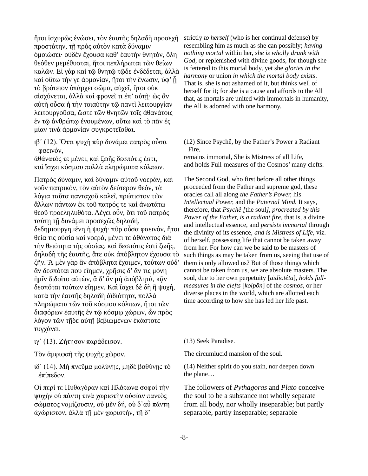ἤτοι ἰσχυρῶς ἑνώσει, τὸν ἑαυτῆς δηλαδὴ προσεχῆ προστάτην, τῇ πρὸς αὐτὸν κατὰ δύναμιν ὁμοιώσει· οὐδὲν ἔχουσα καθ' ἑαυτὴν θνητόν, ὅλη θεόθεν μεμέθυσται, ἤτοι πεπλήρωται τῶν θείων καλῶν. Εἰ γὰρ καὶ τῷ θνητῷ τῷδε ἐνδέδεται, ἀλλὰ καὶ οὕτω τήν γε ἁρμονίαν, ἤτοι τὴν ἕνωσιν, ὑφ' ἦ τὸ βρότειον ὑπάρχει σῶμα, αὐχεῖ, ἤτοι οὐκ αἰσχύνεται, ἀλλὰ καὶ φρονεῖ τι ἐπ' αὐτῇ· ὡς ἂν αὐτὴ οὖσα ἡ τὴν τοιαύτην τῷ παντὶ λειτουργίαν λειτουργοῦσα, ὥστε τῶν θνητῶν τοῖς ἀθανάτοις ἐν τῷ ἀνθρώπῳ ἑνουμένων, οὕτω καὶ τὸ πᾶν ἐς μίαν τινὰ ἁρμονίαν συγκροτεῖσθαι.

ιβ΄ (12). Ὅττι ψυχὴ πῦρ δυνάμει πατρὸς οὖσα φαεινόν,

ἀθάνατός τε μένει, καὶ ζωῆς δεσπότις ἐστι, καὶ ἴσχει κόσμου πολλὰ πληρώματα κόλπων.

Πατρὸς δύναμιν, καὶ δύναμιν αὐτοῦ νοεράν, καὶ νοῦν πατρικόν, τὸν αὐτὸν δεύτερον θεόν, τὰ λόγια ταῦτα πανταχοῦ καλεῖ, πρώτιστον τῶν ἄλλων πάντων ἐκ τοῦ πατρός τε καὶ ἀνωτάτω θεοῦ προεληλυθότα. Λέγει οὖν, ὅτι τοῦ πατρὸς ταύτῃ τῇ δυνάμει προσεχῶς δηλαδή, δεδημιουργημένη ἡ ψυχή· πῦρ οὖσα φαεινόν, ἤτοι θεία τις οὐσία καὶ νοερά, μένει τε ἀθάνατος διὰ τὴν θειότητα τῆς οὐσίας, καὶ δεσπότις ἐστὶ ζωῆς, δηλαδὴ τῆς ἑαυτῆς, ἅτε οὐκ ἀπόβλητον ἔχουσα τὸ ζῆν. Ἃ μὲν γὰρ ἂν ἀπόβλητα ἔχοιμεν, τούτων οὐδ' ἂν δεσπόται που εἴημεν, χρῆσις δ' ἄν τις μόνη ήμῖν διδοῖτο αὐτῶν, ἃ δ' ἂν μὴ ἀπόβλητά, κἂν δεσπόται τούτων εἴημεν. Καὶ ἴσχει δὲ δὴ ἢ ψυχή, κατὰ τὴν ἑαυτῆς δηλαδὴ ἀϊδιότητα, πολλὰ πληρώματα τῶν τοῦ κόσμου κόλπων, ἤτοι τῶν διαφόρων ἑαυτῆς ἐν τῷ κόσμῳ χώρων, ὧν πρὸς λόγον τῶν τῇδε αὐτῇ βεβιωμένων ἑκάστοτε τυγχάνει.

ιγ΄ (13). Ζήτησον παράδεισον. (13) Seek Paradise.

ιδ΄ (14). Μὴ πνεῦμα μολύνῃς, μηδὲ βαθύνῃς τὸ ἐπίπεδον.

Οἱ περί τε Πυθαγόραν καὶ Πλάτωνα σοφοί τὴν ψυχὴν οὐ πάντη τινὰ χωριστὴν οὐσίαν παντὸς σώματος νομίζουσιν, οὐ μὲν δή, οὐ δ᾽αὖ πάντη ἀχώριστον, ἀλλὰ τῇ μὲν χωριστήν, τῇ δ'

strictly *to herself* (who is her continual defense) by resembling him as much as she can possibly; *having nothing mortal* within her, *she is wholly drunk with God,* or replenished with divine goods, for though she is fettered to this mortal body, yet she *glories in the harmony* or union *in which the mortal body exists*. That is, she is not ashamed of it, but thinks well of herself for it; for she is a cause and affords to the All that, as mortals are united with immortals in humanity, the All is adorned with one harmony.

(12) Since Psychê, by the Father's Power a Radiant Fire,

remains immortal, She is Mistress of all Life, and holds Full-measures of the Cosmos' many clefts.

The Second God, who first before all other things proceeded from the Father and supreme god, these oracles call all along *the Father's Power,* his *Intellectual Power,* and the *Paternal Mind.* It says, therefore, that *Psychê [*the soul*], procreated by this Power of the Father, is a radiant fire,* that is, a divine and intellectual essence, and *persists immortal* through the divinity of its essence, *and is Mistress of Life,* viz. of herself, possessing life that cannot be taken away from her. For how can we be said to be masters of such things as may be taken from us, seeing that use of them is only allowed us? But of those things which cannot be taken from us, we are absolute masters. The soul, due to her own perpetuity [*aïdiotêta*], *holds fullmeasures in the clefts* [*kolpôn*] of the *cosmos,* or her diverse places in the world, which are allotted each time according to how she has led her life past.

Τὸν ἀμφιφαῆ τῆς ψυχῆς χῶρον. The circumlucid mansion of the soul.

(14) Neither spirit do you stain, nor deepen down the plane…

The followers of *Pythagoras* and *Plato* conceive the soul to be a substance not wholly separate from all body, nor wholly inseparable; but partly separable, partly inseparable; separable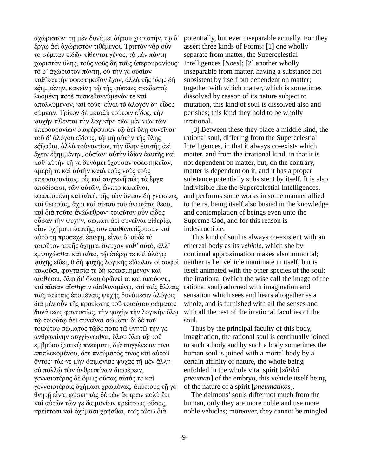ἀχώριστον· τῇ μὲν δυνάμει δήπου χωριστήν, τῷ δ' ἔργῳ ἀεὶ ἀχώριστον τιθέμενοι. Τριττὸν γὰρ οὖν το σύμπαν εἰδῶν τίθενται γένος, τὸ μὲν πάντη χωριστὸν ὕλης, τοὺς νοῦς δὴ τοὺς ὑπερουρανίους· τὸ δ' ἀχώριστον πάντη, οὐ τήν γε οὐσίαν καθ'ἑαυτὴν ὑφεστηκυῖαν ἔχον, ἀλλὰ τῆς ὕλης δὴ ἐξημμένην, κακείνῃ τῷ τῆς φύσεως σκεδαστῷ λυομένῃ ποτὲ συσκεδαννύμενόν τε καὶ ἀπολλύμενον, καὶ τοῦτ' εἶναι τὸ ἄλογον δὴ εἶδος σύμπαν. Τρίτον δὲ μεταξὺ τούτοιν εἶδος, τὴν ψυχὴν τίθενται τὴν λογικήν· τῶν μὲν νῶν τῶν ὑπερουρανίων διαφέρουσαν τῷ ἀεὶ ὕλῃ συνεῖναι· τοῦ δ' ἀλόγου εἴδους, τῷ μὴ αὐτὴν τῆς ὕλης ἐξῆφθαι, ἀλλὰ τοὐναντίον, τὴν ὕλην ἑαυτῆς ἀεὶ ἔχειν ἐξημμένην, οὐσίαν· αὐτὴν ἰδίαν ἑαυτῆς καὶ καθ᾽αὑτὴν τῇ γε δυνάμει ἔχουσαν ὑφεστηκυῖαν, ἀμερῆ τε καὶ αὐτὴν κατὰ τοὺς νοῦς τοὺς ὑπερουρανίους, οἷς καὶ συγγενῆ πῶς τὰ ἔργα ἀποδίδωσι, τῶν αὐτῶν, ὧνπερ κἀκεῖνοι, ἐφαπτομένη καὶ αὐτή, τῆς τῶν ὄντων δὴ γνώσεως καὶ θεωρίας, ἄχρι καὶ αὐτοῦ τοῦ ἀνωτάτω θεοῦ, καὶ διὰ τοῦτο ἀνώλεθρον· τοιοῦτον οὖν εἶδος οὖσαν τὴν ψυχήν, σώματι ἀεὶ συνεῖναι αἰθερίῳ, οἷον ὀχήματι ἑαυτῆς, συναπαθανατίζουσαν καὶ αὐτὸ τῇ προσεχεῖ ἐπαφῇ, εἶναι δ' οὐδὲ τὸ τοιοῦτον αὐτῆς ὄχημα, ἄψυχον καθ' αὑτό, ἀλλ' ἐμψυχῶσθαι καὶ αὐτό, τῷ ἑτέρῳ τε καὶ ἀλόγῳ ψυχῆς εἴδει, ὃ δὴ ψυχῆς λογικῆς εἴδωλον οἱ σοφοὶ καλοῦσι, φαντασίᾳ τε δὴ κεκοσμημένον καὶ αἰσθήσει, ὅλῳ δι' ὅλου ὁρῶντί τε καὶ ἀκούοντι, καὶ πᾶσαν αἴσθησιν αἰσθανομένῳ, καὶ ταῖς ἄλλαις ταῖς ταύταις ἑπομέναις ψυχῆς δυνάμεσιν ἀλόγοις διὰ μὲν οὖν τῆς κρατίστης τοῦ τοιούτου σώματος δυνάμεως φαντασίας, τὴν ψυχὴν τὴν λογικὴν ὅλῳ τῷ τοιούτῳ ἀεὶ συνεῖναι σώματι· δι δὲ τοῦ τοιούτου σώματος τῷδέ ποτε τῷ θνητῷ τήν γε ἀνθρωπίνην συγγίγνεσθαι, ὅλου ὅλῳ τῷ τοῦ ἐμβρύου ζωτικῷ πνεύματι, διὰ συγγένειαν τινα ἐπιπλεκομένου, ἅτε πνεύματός τινος καὶ αὐτοῦ ὄντος· τάς γε μὴν δαιμονίας ψυχὰς τῇ μὲν ἄλλῃ οὐ πολλῷ τῶν ἀνθρωπίνων διαφέρειν, γενναιοτέρας δὲ ὅμως οὔσας αὐτάς τε καὶ γενναιοτέροις ὀχήμασι χρωμένας, ἀμίκτους τῇ γε θνητῇ εἶναι φύσει· τὰς δὲ τῶν ἄστρων πολὺ ἔτι καὶ αὐτῶν τῶν γε δαιμονίων κρείττους οὔσας, κρείττοσι καὶ ὀχήμασι χρῆσθαι, τοῖς οὕτω διὰ

potentially, but ever inseparable actually. For they assert three kinds of Forms: [1] one wholly separate from matter, the Supercelestial Intelligences [*Noes*]; [2] another wholly inseparable from matter, having a substance not subsistent by itself but dependent on matter; together with which matter, which is sometimes dissolved by reason of its nature subject to mutation, this kind of soul is dissolved also and perishes; this kind they hold to be wholly irrational.

[3] Between these they place a middle kind, the rational soul, differing from the Supercelestial Intelligences, in that it always co-exists which matter, and from the irrational kind, in that it is not dependent on matter, but, on the contrary, matter is dependent on it, and it has a proper substance potentially subsistent by itself. It is also indivisible like the Supercelestial Intelligences, and performs some works in some manner allied to theirs, being itself also busied in the knowledge and contemplation of beings even unto the Supreme God, and for this reason is indestructible.

 This kind of soul is always co-existent with an ethereal body as its *vehicle,* which she by continual approximation makes also immortal; neither is her vehicle inanimate in itself, but is itself animated with the other species of the soul: the irrational (which the wise call the image of the rational soul) adorned with imagination and sensation which sees and hears altogether as a whole, and is furnished with all the senses and with all the rest of the irrational faculties of the soul.

 Thus by the principal faculty of this body, imagination, the rational soul is continually joined to such a body and by such a body sometimes the human soul is joined with a mortal body by a certain affinity of nature, the whole being enfolded in the whole vital spirit [*zôtikô pneumati*] of the embryo, this vehicle itself being of the nature of a spirit [*pneumatikos*].

 The daimons' souls differ not much from the human, only they are more noble and use more noble vehicles; moreover, they cannot be mingled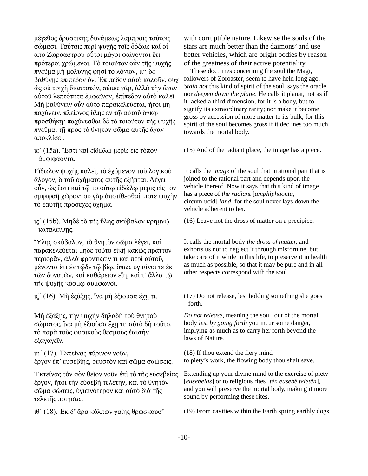μέγεθος δραστικῆς δυνάμεως λαμπροῖς τούτοις σώμασι. Ταύταις περὶ ψυχῆς ταῖς δόξαις καί οἱ ἀπὸ Ζωροάστρου οὗτοι μάγοι φαίνονται ἔτι πρότεροι χρώμενοι. Τὸ τοιοῦτον οὖν τῆς ψυχῆς πνεῦμα μὴ μολύνῃς φησὶ τὸ λόγιον, μὴ δὲ βαθύνῃς ἐπίπεδον ὄν. Ἐπίπεδον αὐτὸ καλοῦν, οὐχ ὡς οὐ τριχῆ διαστατόν, σῶμα γάρ, ἀλλὰ τὴν ἄγαν αὐτοῦ λεπτότητα ἐμφαῖνον, ἐπίπεδον αὐτὸ καλεῖ. Μὴ βαθύνειν οὖν αὐτὸ παρακελεύεται, ἤτοι μὴ παχύνειν, πλείονος ὕλης ἐν τῷ αὐτοῦ ὄγκῳ προσθήκῃ· παχύνεσθαι δὲ τὸ τοιοῦτον τῆς ψυχῆς πνεῦμα, τῇ πρὸς τὸ θνητὸν σῶμα αὐτῆς ἄγαν ἀποκλίσει.

ιε΄ (15a). Ἔστι καὶ εἰδώλῳ μερὶς εἰς τόπον ἀμφιφάοντα.

Εἴδωλον ψυχῆς καλεῖ, τὸ ἐχόμενον τοῦ λογικοῦ ἄλογον, ὃ τοῦ ὀχήματος αὐτῆς ἐξῆπται. Λέγει οὖν, ὡς ἔστι καὶ τῷ τοιούτῳ εἰδώλῳ μερὶς εἰς τὸν ἀμφιφαῆ χῶρον· οὐ γὰρ ἀποτίθεσθαί. ποτε ψυχὴν τὸ ἑαυτῆς προσεχὲς ὄχημα.

ις΄ (15b). Μηδὲ τὸ τῆς ὕλης σκύβαλον κρημνῷ καταλείψης.

Ὕλης σκύβαλον, τὸ θνητὸν σῶμα λέγει, καὶ παρακελεύεται μηδὲ τοῦτο εἰκῆ κακῶς πράττον περιορᾶν, ἀλλὰ φροντίζειν τι καὶ περὶ αὐτοῦ, μένοντα ἔτι ἐν τῷδε τῷ βίῳ, ὅπως ὑγιαίνοι τε ἐκ τῶν δυνατῶν, καὶ καθάρειον εἴη, καὶ τ' ἄλλα τῷ τῆς ψυχῆς κόσμῳ συμφωνοῖ.

Μὴ ἐξάξῃς, τὴν ψυχὴν δηλαδὴ τοῦ θνητοῦ σώματος, ἵνα μὴ ἐξιοῦσα ἔχῃ τι· αὐτὸ δὴ τοῦτο, τὸ παρὰ τοὺς φυσικοὺς θεσμοὺς ἑαυτὴν ἐξαγαγεῖν.

ιη΄ (17). Ἐκτείνας πύρινον νοῦν, ἔργον ἐπ' εὐσεβίης, ῥευστὸν καὶ σῶμα σαώσεις.

Ἐκτείνας τὸν σὸν θεῖον νοῦν ἐπὶ τὸ τῆς εὐσεβείας ἔργον, ἤτοι τὴν εὐσεβῆ τελετήν, καὶ τὸ θνητὸν σῶμα σώσεις, ὑγιεινότερον καὶ αὐτὸ διὰ τῆς τελετῆς ποιήσας.

with corruptible nature. Likewise the souls of the stars are much better than the daimons' and use better vehicles, which are bright bodies by reason of the greatness of their active potentiality.

 These doctrines concerning the soul the Magi, followers of Zoroaster*,* seem to have held long ago. *Stain not* this kind of spirit of the soul, says the oracle, nor *deepen down the plane*. He calls it planar, not as if it lacked a third dimension, for it is a body, but to signify its extraordinary rarity; nor make it become gross by accession of more matter to its bulk, for this spirit of the soul becomes gross if it declines too much towards the mortal body.

(15) And of the radiant place, the image has a piece.

It calls the *image* of the soul that irrational part that is joined to the rational part and depends upon the vehicle thereof. Now it says that this kind of image has a piece of *the radiant* [*amphiphaonta,*  circumlucid] *land,* for the soul never lays down the vehicle adherent to her.

(16) Leave not the dross of matter on a precipice.

It calls the mortal body *the dross of matter,* and exhorts us not to neglect it through misfortune, but take care of it while in this life, to preserve it in health as much as possible, so that it may be pure and in all other respects correspond with the soul.

ιζ΄ (16). Μὴ ἐξάξῃς, ἵνα μὴ ἐξιοῦσα ἔχῃ τι. (17) Do not release, lest holding something she goes forth.

> *Do not release,* meaning the soul, out of the mortal body *lest by going forth* you incur some danger, implying as much as to carry her forth beyond the laws of Nature.

(18) If thou extend the fiery mind to piety's work, the flowing body thou shalt save.

Extending up your divine mind to the exercise of piety [*eusebeias*] or to religious rites [*tên eusebê teletên*], and you will preserve the mortal body, making it more sound by performing these rites*.*

ιθ΄ (18). Ἐκ δ' ἄρα κόλπων γαίης θρῴσκουσ' (19) From cavities within the Earth spring earthly dogs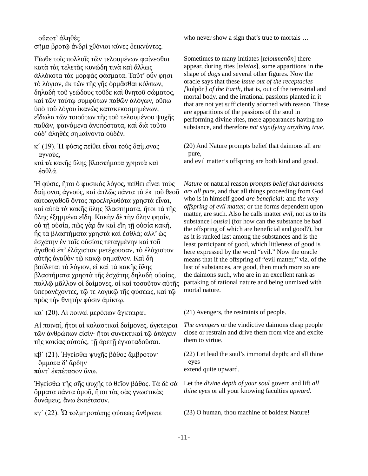οὔποτ' ἀληθὲς

σῆμα βροτῷ ἀνδρὶ χθόνιοι κύνες δεικνύντες.

Εἴωθε τοῖς πολλοῖς τῶν τελουμένων φαίνεσθαι κατὰ τὰς τελετὰς κυνώδη τινὰ καὶ ἄλλως ἀλλόκοτα τὰς μορφὰς φάσματα. Ταῦτ' οὖν φησι τὸ λόγιον, ἐκ τῶν τῆς γῆς ὁρμᾶσθαι κόλπων, δηλαδὴ τοῦ γεώδους τοῦδε καὶ θνητοῦ σώματος, καὶ τῶν τούτῳ συμφύτων παθῶν ἀλόγων, οὔπω ὑπὸ τοῦ λόγου ἱκανῶς κατακεκοσμημένων, εἴδωλα τῶν τοιούτων τῆς τοῦ τελουμένου ψυχῆς παθῶν, φαινόμενα ἀνυπόστατα, καὶ διὰ τοῦτο οὐδ' ἀληθὲς σημαίνοντα οὐδέν.

- κ΄ (19). Ἡ φύσις πείθει εἶναι τοὺς δαίμονας ἁγνούς,
- καὶ τὰ κακῆς ὕλης βλαστήματα χρηστὰ καὶ ἐσθλά.

Ἡ φύσις, ἤτοι ὁ φυσικὸς λόγος, πείθει εἶναι τοὺς δαίμονας ἁγνούς, καὶ ἁπλῶς πάντα τὰ ἐκ τοῦ θεοῦ αὐτοαγαθοῦ ὄντος προεληλυθότα χρηστὰ εἶναι, καὶ αὐτὰ τὰ κακῆς ὕλης βλαστήματα, ἤτοι τὰ τῆς ὕλης ἐξημμένα εἴδη. Κακὴν δὲ τὴν ὕλην φησίν, οὐ τῇ οὐσία, πῶς γὰρ ἂν καὶ εἴη τῇ οὐσία κακή, ἧς τὰ βλαστήματα χρηστὰ καὶ ἐσθλά; ἀλλ' ὡς ἐσχάτην ἐν ταῖς οὐσίαις τεταγμένην καὶ τοῦ ἀγαθοῦ ἐπ' ἐλάχιστον μετέχουσαν, τὸ ἐλάχιστον αὐτῆς ἀγαθὸν τῷ κακῷ σημαῖνον. Καὶ δὴ βούλεται τὸ λόγιον, εἰ καὶ τὰ κακῆς ὕλης βλαστήματα χρηστὰ τῆς ἐσχάτης δηλαδὴ οὐσίας, πολλῷ μᾶλλον οἱ δαίμονες, οἱ καὶ τοσοῦτον αὐτῆς ὑπερανέχοντες, τῷ τε λογικῷ τῆς φύσεως, καὶ τῷ πρὸς τὴν θνητὴν φύσιν ἀμίκτῳ.

κα΄ (20). Αἱ ποιναὶ μερόπων ἄγκτειραι. (21) Avengers, the restraints of people.

Αἱ ποιναί, ἤτοι αἱ κολαστικαὶ δαίμονες, ἄγκτειραι τῶν ἀνθρώπων εἰσίν· ἤτοι συνεκτικαί τῷ ἀπάγειν τῆς κακίας αὐτούς, τῇ ἀρετῇ ἐγκαταδοῦσαι.

κβ΄ (21). Ἡγείσθω ψυχῆς βάθος ἄμβροτον· ὄμματα δ' ἄρδην πάντ' ἐκπέτασον ἄνω.

Ἡγείσθω τῆς σῆς ψυχῆς τὸ θεῖον βάθος. Τὰ δὲ σὰ ὄμματα πάντα ὁμοῦ, ἤτοι τὰς σὰς γνωστικὰς δυνάμεις, ἄνω ἐκπέτασον.

κγ΄ (22). Ὦ τολμηροτάτης φύσεως ἄνθρωπε (23) O human, thou machine of boldest Nature!

who never show a sign that's true to mortals …

Sometimes to many initiates [*teloumenôn*] there appear, during rites [*teletas*], some apparitions in the shape of *dogs* and several other figures. Now the oracle says that these *issue out of the receptacles [*kolpôn*] of the Earth,* that is, out of the terrestrial and mortal body, and the irrational passions planted in it that are not yet sufficiently adorned with reason. These are apparitions of the passions of the soul in performing divine rites, mere appearances having no substance, and therefore *not signifying anything true.*

(20) And Nature prompts belief that daimons all are pure,

and evil matter's offspring are both kind and good.

*Nature* or natural reason *prompts belief that daimons are all pure,* and that all things proceeding from God who is in himself good *are beneficial;* and *the very offspring of evil matter,* or the forms dependent upon matter, are such. Also he calls matter *evil,* not as to its substance [*ousia*] (for how can the substance be bad the offspring of which are beneficial and good?), but as it is ranked last among the substances and is the least participant of good, which littleness of good is here expressed by the word "evil." Now the oracle means that if the offspring of "evil matter," viz. of the last of substances, are good, then much more so are the daimons such, who are in an excellent rank as partaking of rational nature and being unmixed with mortal nature.

*The avengers* or the vindictive daimons clasp people close or restrain and drive them from vice and excite them to virtue.

(22) Let lead the soul's immortal depth; and all thine eyes extend quite upward.

Let the *divine depth of your soul* govern and lift *all* 

*thine eyes* or all your knowing faculties *upward.*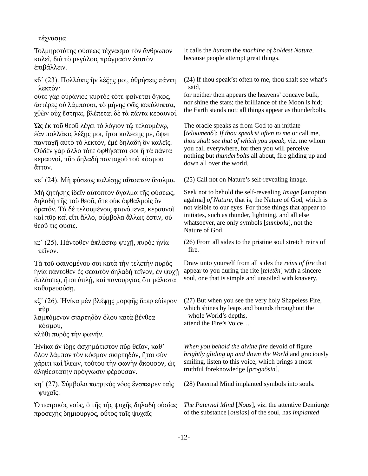τέχνασμα.

Τολμηροτάτης φύσεως τέχνασμα τὸν ἄνθρωπον καλεῖ, διὰ τὸ μεγάλοις πράγμασιν ἑαυτὸν ἐπιβάλλειν.

κδ΄ (23). Πολλάκις ἣν λέξῃς μοι, ἀθρήσεις πάντη λεκτόν·

οὔτε γὰρ οὐράνιος κυρτὸς τότε φαίνεται ὄγκος, ἀστέρες οὐ λάμπουσι, τὸ μήνης φῶς κεκάλυπται, χθὼν οὐχ ἕστηκε, βλέπεται δὲ τὰ πάντα κεραυνοί.

Ὡς ἐκ τοῦ θεοῦ λέγει τὸ λόγιον τῷ τελουμένῳ, ἐὰν πολλάκις λέξῃς μοι, ἤτοι καλέσῃς με, ὄψει πανταχῆ αὐτὸ τὸ λεκτόν, ἐμὲ δηλαδὴ ὃν καλεῖς. Οὐδὲν γὰρ ἄλλο τότε ὀφθήσεται σοι ἢ τὰ πάντα κεραυνοί, πῦρ δηλαδὴ πανταχοῦ τοῦ κόσμου ἄττον.

κε΄ (24). Μὴ φύσεως καλέσῃς αὔτοπτον ἄγαλμα. (25) Call not on Nature's self-revealing image.

Μὴ ζητήσῃς ἰδεῖν αὔτοπτον ἄγαλμα τῆς φύσεως, δηλαδὴ τῆς τοῦ θεοῦ, ἅτε οὐκ ὀφθαλμοῖς ὂν ὁρατόν. Τὰ δὲ τελουμένοις φαινόμενα, κεραυνοῖ καὶ πῦρ καὶ εἴτι ἄλλο, σύμβολα ἄλλως ἐστιν, οὐ θεοῦ τις φύσις.

κς΄ (25). Πάντοθεν ἀπλάστῳ ψυχῇ, πυρὸς ἡνία τεῖνον.

Τὰ τοῦ φαινομένου σοι κατὰ τὴν τελετὴν πυρὸς ἡνία πάντοθεν ἐς σεαυτὸν δηλαδὴ τεῖνον, ἐν ψυχῇ ἀπλάστῳ, ἤτοι ἁπλῇ, καὶ πανουργίας ὅτι μάλιστα καθαρευούσῃ.

κζ΄ (26). Ἡνίκα μὲν βλέψῃς μορφῆς ἄτερ εὐίερον πῦρ

λαμπόμενον σκιρτηδὸν ὅλου κατὰ βένθεα κόσμου,

κλῦθι πυρὸς τὴν φωνήν.

Ἡνίκα ἂν ἴδῃς ἀσχημάτιστον πῦρ θεῖον, καθ' ὅλον λάμπον τὸν κόσμον σκιρτηδόν, ἤτοι σὺν χάριτι καὶ ἵλεων, τούτου τὴν φωνὴν ἄκουσον, ὡς ἀληθεστάτην πρόγνωσιν φέρουσαν.

κη΄ (27). Σύμβολα πατρικὸς νόος ἔνσπειρεν ταῖς ψυχαῖς.

Ὁ πατρικὸς νοῦς, ὁ τῆς τῆς ψυχῆς δηλαδὴ οὐσίας προσεχὴς δημιουργός, οὗτος ταῖς ψυχαῖς

It calls the *human* the *machine of boldest Nature,* because people attempt great things.

(24) If thou speak'st often to me, thou shalt see what's said,

for neither then appears the heavens' concave bulk, nor shine the stars; the brilliance of the Moon is hid; the Earth stands not; all things appear as thunderbolts.

The oracle speaks as from God to an initiate [*teloumenô*]: *If thou speak'st often to me* or call me, *thou shalt see that of which you speak,* viz. me whom you call everywhere, for then you will perceive nothing but *thunderbolts* all about, fire gliding up and down all over the world.

Seek not to behold the self-revealing *Image* [autopton agalma] *of Nature,* that is, the Nature of God, which is not visible to our eyes. For those things that appear to initiates, such as thunder, lightning, and all else whatsoever, are only symbols [*sumbola*], not the Nature of God.

(26) From all sides to the pristine soul stretch reins of fire.

Draw unto yourself from all sides the *reins of fire* that appear to you during the rite [*teletên*] with a sincere soul, one that is simple and unsoiled with knavery.

(27) But when you see the very holy Shapeless Fire, which shines by leaps and bounds throughout the whole World's depths, attend the Fire's Voice…

*When you behold the divine fire* devoid of figure *brightly gliding up and down the World* and graciously smiling, listen to this voice, which brings a most truthful foreknowledge [*prognôsin*].

(28) Paternal Mind implanted symbols into souls.

*The Paternal Mind* [*Nous*]*,* viz. the attentive Demiurge of the substance [*ousias*] of the soul, has *implanted*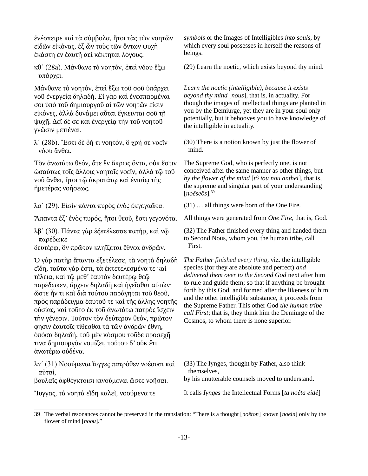ἐνέσπειρε καὶ τὰ σύμβολα, ἤτοι τὰς τῶν νοητῶν εἰδῶν εἰκόνας, ἐξ ὧν τοὺς τῶν ὄντων ψυχὴ ἑκάστη ἐν ἑαυτῇ ἀεὶ κέκτηται λόγους.

κθ΄ (28a). Μάνθανε τὸ νοητόν, ἐπεὶ νόου ἔξω ὑπάρχει.

Μάνθανε τὸ νοητόν, ἐπεὶ ἔξω τοῦ σοῦ ὑπάρχει νοῦ ἐνεργείᾳ δηλαδή. Εἰ γὰρ καὶ ἐνεσπαρμέναι σοι ὑπὸ τοῦ δημιουργοῦ αἱ τῶν νοητῶν εἰσιν εἰκόνες, ἀλλὰ δυνάμει αὗται ἔγκεινται σοῦ τῇ ψυχῇ. Δεῖ δὲ σε καὶ ἐνεργείᾳ τὴν τοῦ νοητοῦ γνῶσιν μετιέναι.

λ΄ (28b). Ἔστι δὲ δή τι νοητόν, ὃ χρή σε νοεῖν νόου ἄνθει.

Τὸν ἀνωτάτω θεόν, ἅτε ἓν ἄκρως ὄντα, οὐκ ἔστιν ὡσαύτως τοῖς ἄλλοις νοητοῖς νοεῖν, ἀλλὰ τῷ τοῦ νοῦ ἄνθει, ἤτοι τῷ ἀκροτάτῳ καὶ ἑνιαίῳ τῆς ἡμετέρας νοήσεως.

λα΄ (29). Εἰσὶν πάντα πυρὸς ἑνὸς ἐκγεγαῶτα. (31) … all things were born of the One Fire.

λβ΄ (30). Πάντα γὰρ ἐξετέλεσσε πατήρ, καὶ νῷ παρέδωκε

δευτέρῳ, ὃν πρῶτον κληΐζεται ἔθνεα ἀνδρῶν.

Ὁ γὰρ πατὴρ ἅπαντα ἐξετέλεσε, τὰ νοητὰ δηλαδὴ εἴδη, ταῦτα γάρ ἐστι, τὰ ἐκτετελεσμένα τε καὶ τέλεια, καὶ τῷ μεθ' ἑαυτὸν δευτέρῳ θεῷ παρέδωκεν, ἄρχειν δηλαδὴ καὶ ἡγεῖσθαι αὐτῶν· ὥστε ἦν τι καὶ διὰ τούτου παράγηται τοῦ θεοῦ, πρὸς παράδειγμα ἑαυτοῦ τε καὶ τῆς ἄλλης νοητῆς οὐσίας, καὶ τοῦτο ἐκ τοῦ ἀνωτάτω πατρὸς ἴσχειν τὴν γένεσιν. Τοῦτον τὸν δεύτερον θεόν, πρῶτον φησιν ἑαυτοῖς τίθεσθαι τὰ τῶν ἀνδρῶν ἔθνη, ὁπόσα δηλαδή, τοῦ μὲν κόσμου τοῦδε προσεχῆ τινα δημιουργὸν νομίζει, τούτου δ' οὐκ ἔτι ἀνωτέρω οὐδένα.

λγ΄ (31) Νοούμεναι ἴυγγες πατρόθεν νοέουσι καὶ αὐταί,

βουλαῖς ἀφθέγκτοισι κινούμεναι ὥστε νοῆσαι.

*symbols* or the Images of Intelligibles *into souls,* by which every soul possesses in herself the reasons of beings.

(29) Learn the noetic, which exists beyond thy mind.

*Learn the noetic (intelligible), because it exists beyond thy mind* [*nous*]*,* that is, in actuality. For though the images of intellectual things are planted in you by the Demiurge, yet they are in your soul only potentially, but it behooves you to have knowledge of the intelligible in actuality.

(30) There is a notion known by just the flower of mind.

The Supreme God, who is perfectly one, is not conceived after the same manner as other things, but *by the flower of the mind* [*tô tou nou anthei*]*,* that is, the supreme and singular part of your understanding [*noêseôs*].[39](#page-12-1)

<span id="page-12-0"></span>

Ἅπαντα ἐξ' ἑνὸς πυρός, ἤτοι θεοῦ, ἔστι γεγονότα. All things were generated from *One Fire*, that is, God.

(32) The Father finished every thing and handed them to Second Nous, whom you, the human tribe, call First.

*The Father finished every thing,* viz. the intelligible species (for they are absolute and perfect) *and delivered them over to the Second God* next after him to rule and guide them; so that if anything be brought forth by this God, and formed after the likeness of him and the other intelligible substance, it proceeds from the Supreme Father. This other God *the human tribe call First*; that is, they think him the Demiurge of the Cosmos, to whom there is none superior.

(33) The Iynges, thought by Father, also think themselves,

by his unutterable counsels moved to understand.

Ἴυγγας, τὰ νοητὰ εἴδη καλεῖ, νοούμενα τε It calls *Iynges* the Intellectual Forms [*ta noêta eidê*]

<span id="page-12-1"></span>[<sup>39</sup>](#page-12-0) The verbal resonances cannot be preserved in the translation: "There is a thought [*noêton*] known [*noein*] only by the flower of mind [*noou*]."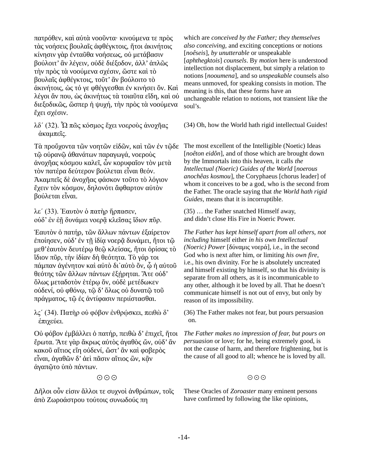πατρόθεν, καὶ αὐτὰ νοοῦντα· κινούμενα τε πρὸς τὰς νοήσεις βουλαῖς ἀφθέγκτοις, ἤτοι ἀκινήτοις κίνησιν γὰρ ἐνταῦθα νοήσεως, οὐ μετάβασιν βούλοιτ' ἂν λέγειν, οὐδὲ διέξοδον, ἀλλ' ἁπλῶς τὴν πρὸς τὰ νοούμενα σχέσιν, ὥστε καὶ τὸ βουλαῖς ἀφθέγκτοις, τοῦτ' ἂν βούλοιτο τὸ ἀκινήτοις, ὡς τό γε φθέγγεσθαι ἐν κινήσει ὄν. Καὶ λέγοι ἄν που, ὡς ἀκινήτως τὰ τοιαῦτα εἴδη, καὶ οὐ διεξοδικῶς, ὥσπερ ἡ ψυχή, τὴν πρὸς τὰ νοούμενα ἔχει σχέσιν.

λδ' (32).  $\Omega \pi \tilde{\omega}$ ς κόσμος έχει νοερούς άνοχη $\alpha$ ς ἀκαμπεῖς.

Τὰ προὔχοντα τῶν νοητῶν εἰδῶν, καὶ τῶν ἐν τῷδε τῷ οὐρανῷ ἀθανάτων παραγωγά, νοεροὺς ἀνοχῆας κόσμου καλεῖ, ὧν κορυφαῖον τὸν μετὰ τὸν πατέρα δεύτερον βούλεται εἶναι θεόν. Ἀκαμπεῖς δὲ ἀνοχῆας φάσκον τοῦτο τὸ λόγιον ἔχειν τὸν κόσμον, δηλονότι ἄφθαρτον αὐτὸν βούλεται εἶναι.

λε΄ (33). Ἑαυτὸν ὁ πατὴρ ἥρπασεν, ούδ' έν έῆ δυνάμει νοερᾶ κλεῖσας ἴδιον πῦρ.

Ἑαυτὸν ὁ πατήρ, τῶν ἄλλων πάντων ἐξαίρετον ἐποίησεν, οὐδ' ἐν τῇ ἰδίᾳ νοερᾷ δυνάμει, ἤτοι τῷ μεθ'ἑαυτὸν δευτέρῳ θεῷ κλείσας, ἤτοι ὁρίσας τὸ ἴδιον πῦρ, τὴν ἰδίαν δὴ θεότητα. Τὸ γάρ τοι πάμπαν ἀγένητον καὶ αὐτὸ δι'αὐτὸ ὄν, ὧ ἡ αὐτοῦ θεότης τῶν ἄλλων πάντων ἐξήρηται. Άτε οὐδ' ὅλως μεταδοτὸν ἑτέρῳ ὄν, οὐδὲ μετέδωκεν οὐδενί, οὐ φθόνῳ, τῷ δ' ὅλως οὐ δυνατῷ τοῦ πράγματος, τῷ ἐς ἀντίφασιν περιίστασθαι.

λς΄ (34). Πατὴρ οὐ φόβον ἐνθρῴσκει, πειθὼ δ' ἐπιχεύει.

Οὐ φόβον ἐμβάλλει ὁ πατήρ, πειθὼ δ' ἐπιχεῖ, ἤτοι ἔρωτα. Ἅτε γὰρ ἄκρως αὐτὸς ἀγαθὸς ὤν, οὐδ' ἂν κακοῦ αἴτιος εἴη οὐδενί, ὥστ' ἂν καὶ φοβερὸς εἶναι, ἀγαθῶν δ' ἀεὶ πᾶσιν αἴτιος ὢν, κἂν ἀγαπῷτο ὑπὸ πάντων.

### ☉☉☉ ☉☉☉

Δῆλοι οὖν εἰσιν ἄλλοι τε συχνοὶ ἀνθρώπων, τοῖς ἀπὸ Ζωροάστρου τούτοις συνωδούς πη

which are *conceived by the Father; they themselves also conceiving,* and exciting conceptions or notions [*noêseis*], *by unutterable* or unspeakable [*aphthegktois*] *counsels*. By *motion* here is understood intellection not displacement, but simply a relation to notions [*nooumena*], and so *unspeakable* counsels also means unmoved, for speaking consists in motion. The meaning is this, that these forms have an unchangeable relation to notions, not transient like the soul's.

(34) Oh, how the World hath rigid intellectual Guides!

The most excellent of the Intelligible (Noetic) Ideas [*noêton eidôn*], and of those which are brought down by the Immortals into this heaven, it calls *the Intellectual (Noeric) Guides of the World* [*noerous anochêas kosmou*], the Coryphaeus [chorus leader] of whom it conceives to be a god, who is the second from the Father. The oracle saying that *the World hath rigid Guides,* means that it is incorruptible.

(35) … the Father snatched Himself away, and didn't close His Fire in Noeric Power.

*The Father has kept himself apart from all others, not including* himself either *in his own Intellectual (Noeric) Power* [δύναμις νοερά]*,* i.e., in the second God who is next after him, or limiting *his own fire*, i.e., his own divinity. For he is absolutely uncreated and himself existing by himself, so that his divinity is separate from all others, as it is incommunicable to any other, although it be loved by all. That he doesn't communicate himself is not out of envy, but only by reason of its impossibility.

(36) The Father makes not fear, but pours persuasion on.

*The Father makes no impression of fear, but pours on persuasion* or love; for he, being extremely good, is not the cause of harm, and therefore frightening, but is the cause of all good to all; whence he is loved by all.

These Oracles of *Zoroaster* many eminent persons have confirmed by following the like opinions,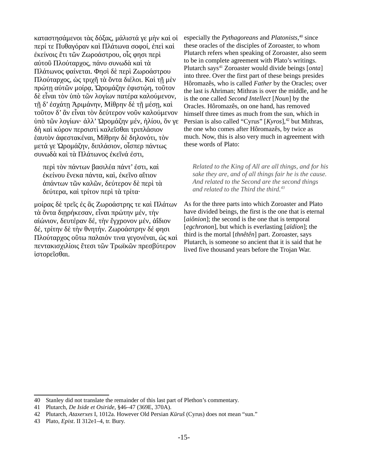καταστησάμενοι τὰς δόξας, μάλιστά γε μὴν καὶ οἱ περί τε Πυθαγόραν καὶ Πλάτωνα σοφοί, ἐπεὶ καὶ ἐκείνοις ἔτι τῶν Ζωροάστρου, οἷς φησι περὶ αὐτοῦ Πλούταρχος, πάνυ συνωδὰ καὶ τὰ Πλάτωνος φαίνεται. Φησὶ δὲ περὶ Ζωροάστρου Πλούταρχος, ὡς τριχῆ τὰ ὄντα διέλοι. Καὶ τῇ μὲν πρώτη αύτῶν μοίρα, Ώρομάζην έφιστώη, τοῦτον δὲ εἶναι τὸν ὑπὸ τῶν λογίων πατέρα καλούμενον, τῇ δ' ἐσχάτῃ Ἀριμάνην, Μίθρην δὲ τῇ μέσῃ, καὶ τοῦτον δ' ἂν εἶναι τὸν δεύτερον νοῦν καλούμενον ὑπὸ τῶν λογίων· ἀλλ' Ὡρομάζην μέν, ἡλίου, ὅν γε δὴ καὶ κύρον περσιστὶ καλεῖσθαι τριπλάσιον ἑαυτὸν ἀφεστακέναι, Μίθρην δὲ δηλονότι, τὸν μετά γε Ὡρομάζην, διπλάσιον, οἷσπερ πάντως συνωδὰ καὶ τὰ Πλάτωνος ἐκεῖνά ἐστι,

περὶ τὸν πάντων βασιλέα πάντ' ἐστι, καὶ ἐκείνου ἕνεκα πάντα, καὶ, ἐκεῖνο αἴτιον ἁπάντων τῶν καλῶν, δεύτερον δὲ περὶ τὰ δεύτερα, καὶ τρίτον περὶ τὰ τρίτα·

μοίρας δὲ τρεῖς ἐς ἃς Ζωροάστρης τε καὶ Πλάτων τὰ ὄντα διῃρήκεσαν, εἶναι πρώτην μέν, τὴν αἰώνιον, δευτέραν δέ, τὴν ἔγχρονον μέν, ἀΐδιον δέ, τρίτην δὲ τὴν θνητήν. Ζωροάστρην δέ φησι Πλούταρχος οὕτω παλαιόν τινα γεγονέναι, ὡς καὶ πεντακισχιλίοις ἔτεσι τῶν Τρωϊκῶν πρεσβύτερον ἱστορεῖσθαι.

<span id="page-14-2"></span><span id="page-14-0"></span>especially the *Pythagoreans* and *Platonists*, [40](#page-14-1) since these oracles of the disciples of Zoroaster, to whom Plutarch refers when speaking of Zoroaster, also seem to be in complete agreement with Plato's writings. Plutarch says[41](#page-14-3) Zoroaster would divide beings [*onta*] into three. Over the first part of these beings presides Hôromazês, who is called *Father* by the Oracles; over the last is Ahriman; Mithras is over the middle, and he is the one called *Second Intellect* [*Noun*] by the Oracles. Hôromazês, on one hand, has removed himself three times as much from the sun, which in Persian is also called "Cyrus" [*Kyros*],<sup>[42](#page-14-5)</sup> but Mithras, the one who comes after Hôromazês, by twice as much. Now, this is also very much in agreement with these words of Plato:

<span id="page-14-6"></span><span id="page-14-4"></span>*Related to the King of All are all things, and for his sake they are, and of all things fair he is the cause. And related to the Second are the second things and related to the Third the third.[43](#page-14-7)*

As for the three parts into which Zoroaster and Plato have divided beings, the first is the one that is eternal [*aiônion*]; the second is the one that is temporal [*egchronon*], but which is everlasting [*aïdion*]; the third is the mortal [*thnêtên*] part. Zoroaster, says Plutarch, is someone so ancient that it is said that he lived five thousand years before the Trojan War.

<span id="page-14-1"></span>[<sup>40</sup>](#page-14-0) Stanley did not translate the remainder of this last part of Plethon's commentary.

<span id="page-14-3"></span>[<sup>41</sup>](#page-14-2) Plutarch, *De Iside et Osiride*, §46–47 (369E, 370A).

<span id="page-14-5"></span>[<sup>42</sup>](#page-14-4) Plutarch, *Ataxerxes* I, 1012a. However Old Persian *Kūruš* (Cyrus) does not mean "sun."

<span id="page-14-7"></span>[<sup>43</sup>](#page-14-6) Plato, *Epist*. II 312e1–4, tr. Bury.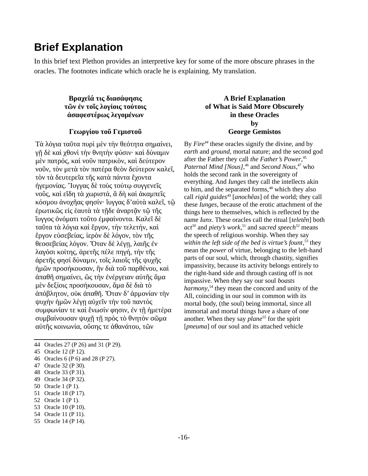## **Brief Explanation**

In this brief text Plethon provides an interpretive key for some of the more obscure phrases in the oracles. The footnotes indicate which oracle he is explaining. My translation.

## **Βραχεῖά τις διασάφησις τῶν ἐν τοῖς λογίοις τούτοις ἀσαφεστέρως λεγομένων**

### **Γεωργίου τοῦ Γεμιστοῦ**

Τὰ λόγια ταῦτα πυρὶ μὲν τὴν θεότητα σημαίνει, γῇ δὲ καὶ χθονὶ τὴν θνητὴν φύσιν· καὶ δύναμιν μὲν πατρός, καὶ νοῦν πατρικὸν, καὶ δεύτερον νοῦν, τὸν μετὰ τὸν πατέρα θεὸν δεύτερον καλεῖ, τὸν τὰ δευτερεῖα τῆς κατὰ πάντα ἔχοντα ἡγεμονίας. Ἴυγγας δὲ τοὺς τούτῳ συγγενεῖς νοῦς, καὶ εἴδη τὰ χωριστά, ἃ δὴ καὶ ἀκαμπεῖς κόσμου ἀνοχῆας φησίν· ἴυγγας δ'αὐτὰ καλεῖ, τῷ έρωτικῶς εἰς ἑαυτὰ τὰ τῆδε ἀναρτᾶν τῷ τῆς ἴυγγος ὀνόματι τοῦτο ἐμφαίνοντα. Καλεῖ δὲ ταῦτα τὰ λόγια καὶ ἔργον, τὴν τελετήν, καὶ ἔργον εὐσεβείας, ἱερὸν δὲ λόγον, τὸν τῆς θεοσεβείας λόγον. Ὅταν δὲ λέγῃ, λαιῆς ἐν λαγόσι κοίτης, ἀρετῆς πέλε πηγή, τὴν τῆς ἀρετῆς φησί δύναμιν, τοῖς λαιοῖς τῆς ψυχῆς ἡμῶν προσήκουσαν, ἣν διὰ τοῦ παρθένου, καὶ ἀπαθῆ σημαίνει, ὥς τὴν ἐνέργειαν αὐτῆς ἅμα μὲν δεξίοις προσήκουσαν, ἅμα δὲ διὰ τὸ ἀπόβλητον, οὐκ ἀπαθῆ. Ὅταν δ' ἁρμονίαν τὴν ψυχὴν ἡμῶν λέγῃ αὐχεῖν τὴν τοῦ παντὸς συμφωνίαν τε καὶ ἕνωσίν φησιν, ἐν τῇ ἡμετέρα συμβαίνουσαν ψυχῇ τῇ πρὸς τὸ θνητὸν σῶμα αὐτῆς κοινωνία, οὔσης τε ἀθανάτου, τῶν

## <span id="page-15-6"></span><span id="page-15-2"></span>**A Brief Explanation of What is Said More Obscurely in these Oracles by George Gemistos**

<span id="page-15-22"></span><span id="page-15-20"></span><span id="page-15-18"></span><span id="page-15-16"></span><span id="page-15-14"></span><span id="page-15-12"></span><span id="page-15-10"></span><span id="page-15-8"></span><span id="page-15-4"></span><span id="page-15-0"></span>By *Fire[44](#page-15-1)* these oracles signify the divine, and by *earth* and *ground*, mortal nature; and the second god after the Father they call *the Father's Power*, [45](#page-15-3) *Paternal Mind [Nous]*, [46](#page-15-5) and *Second Nous*, [47](#page-15-7) who holds the second rank in the sovereignty of everything. And *Iunges* they call the intellects akin to him, and the separated forms, $48$  which they also call *rigid guides[49](#page-15-11)* [*anochêas*] of the world; they call these *Iunges*, because of the erotic attachment of the things here to themselves, which is reflected by the name *Iunx*. These oracles call the ritual [*teletên*] both *act[50](#page-15-13)* and *piety's work*, [51](#page-15-15) and *sacred speech[52](#page-15-17)* means the speech of religious worship. When they say *within the left side of the bed is virtue's fount*, [53](#page-15-19) they mean the *power* of virtue, belonging to the left-hand parts of our soul, which, through chastity, signifies impassivity, because its activity belongs entirely to the right-hand side and through casting off is not impassive. When they say our soul *boasts harmony*, [54](#page-15-21) they mean the concord and unity of the All, coinciding in our soul in common with its mortal body, (the soul) being immortal, since all immortal and mortal things have a share of one another. When they say *plane[55](#page-15-23)* for the spirit [*pneuma*] of our soul and its attached vehicle

- <span id="page-15-5"></span>[46](#page-15-4) Oracles 6 (P 6) and 28 (P 27).
- <span id="page-15-7"></span>[47](#page-15-6) Oracle 32 (P 30).

- <span id="page-15-11"></span>[49](#page-15-10) Oracle 34 (P 32).
- <span id="page-15-13"></span>[50](#page-15-12) Oracle 1 (P 1).
- <span id="page-15-15"></span>[51](#page-15-14) Oracle 18 (P 17).
- <span id="page-15-17"></span>[52](#page-15-16) Oracle 1 (P 1).
- <span id="page-15-19"></span>[53](#page-15-18) Oracle 10 (P 10).
- <span id="page-15-21"></span>[54](#page-15-20) Oracle 11 (P 11).
- <span id="page-15-23"></span>[55](#page-15-22) Oracle 14 (P 14).

<span id="page-15-1"></span>[<sup>44</sup>](#page-15-0) Oracles 27 (P 26) and 31 (P 29).

<span id="page-15-3"></span>[<sup>45</sup>](#page-15-2) Oracle 12 (P 12).

<span id="page-15-9"></span>[<sup>48</sup>](#page-15-8) Oracle 33 (P 31).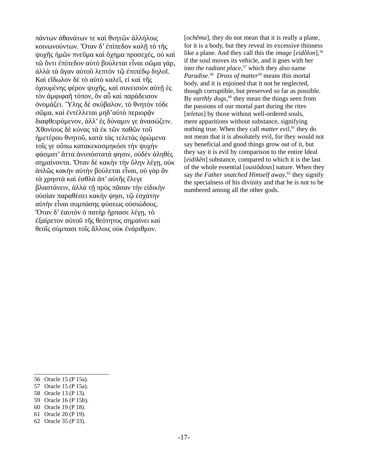πάντων ἀθανάτων τε καὶ θνητῶν ἀλλήλοις κοινωνούντων. Ὅταν δ' ἐπίπεδον καλῇ τὸ τῆς ψυχῆς ἡμῶν πνεῦμα καὶ ὄχημα προσεχές, οὐ καὶ τῶ ὄντι ἐπίπεδον αὐτὸ βούλεται εἶναι σῶμα γάρ, ἀλλὰ τὰ ἄγαν αὐτοῦ λεπτὸν τῷ ἐπιπέδῳ δηλοῖ. Καὶ εἴδωλον δὲ τὸ αὐτὸ καλεῖ, εἰ καὶ τῆς ὀχουμένης φέρον ψυχῆς, καὶ συνεισιὸν αὐτῇ ἐς τὸν ἀμφιφαῆ τόπον, ὃν αὖ καὶ παράδεισον ὀνομάζει. Ὕλης δὲ σκύβαλον, τὸ θνητὸν τόδε σῶμα, καὶ ἐντέλλεται μηδ'αὐτὸ περιορᾶν διαφθειρόμενον, ἀλλ' ἐς δύναμιν γε ἀνασώζειν. Χθονίους δὲ κύνας τὰ ἐκ τῶν παθῶν τοῦ ἡμετέρου θνητοῦ, κατὰ τὰς τελετὰς ὁρώμενα τοῖς γε οὔπω κατακεκοσμηκόσι τὴν ψυχὴν φάσματ' ἄττα ἀνυπόστατά φησιν, οὐδὲν ἀληθὲς σημαίνοντα. Ὅταν δὲ κακὴν τὴν ὕλην λέγῃ, οὐκ ἁπλῶς κακὴν αὐτὴν βούλεται εἶναι, οὐ γὰρ ἂν τὰ χρηστὰ καὶ ἐσθλὰ ἀπ' αὐτῆς ἔλεγε βλαστάνειν, ἀλλὰ τῇ πρὸς πᾶσαν τὴν εἰδικὴν οὐσίαν παραθέσει κακήν φησι, τῷ ἐσχάτην αὐτὴν εἶναι συμπάσης φύσεως οὐσιώδους. Ὅταν δ' ἑαυτὸν ὁ πατὴρ ἥρπασε λέγῃ, τὸ ἐξαίρετον αὐτοῦ τῆς θεότητος σημαίνει καὶ θεοῖς σύμπασι τοῖς ἄλλοις οὐκ ἐνάριθμον.

<span id="page-16-12"></span><span id="page-16-10"></span><span id="page-16-8"></span><span id="page-16-6"></span><span id="page-16-4"></span><span id="page-16-2"></span><span id="page-16-0"></span>[*ochêma*], they do not mean that it is really a plane, for it is a body, but they reveal its excessive thinness like a plane. And they call this the *image* [eidôlon],<sup>[56](#page-16-1)</sup> if the soul moves its vehicle, and it goes with her into *the radiant place*, [57](#page-16-3) which they also name *Paradise*. [58](#page-16-5) *Dross of matter*[59](#page-16-7) means this mortal body, and it is enjoined that it not be neglected, though corruptible, but preserved so far as possible. By *earthly dogs*,<sup>[60](#page-16-9)</sup> they mean the things seen from the passions of our mortal part during the rites [*teletas*] by those without well-ordered souls, mere apparitions without substance, signifying nothing true. When they call *matter evil*, [61](#page-16-11) they do not mean that it is absolutely evil, for they would not say beneficial and good things grow out of it, but they say it is evil by comparison to the entire Ideal [*eidikên*] substance, compared to which it is the last of the whole essential [*ousiôdous*] nature. When they say *the Father snatched Himself away*, [62](#page-16-13) they signify the specialness of his divinity and that he is not to be numbered among all the other gods.

<span id="page-16-1"></span>[<sup>56</sup>](#page-16-0) Oracle 15 (P 15a).

<span id="page-16-3"></span>[<sup>57</sup>](#page-16-2) Oracle 15 (P 15a).

<span id="page-16-5"></span>[<sup>58</sup>](#page-16-4) Oracle 13 (P 13).

<span id="page-16-7"></span>[<sup>59</sup>](#page-16-6) Oracle 16 (P 15b).

<span id="page-16-9"></span>[<sup>60</sup>](#page-16-8) Oracle 19 (P 18).

<span id="page-16-11"></span>[<sup>61</sup>](#page-16-10) Oracle 20 (P 19).

<span id="page-16-13"></span>[<sup>62</sup>](#page-16-12) Oracle 35 (P 33).